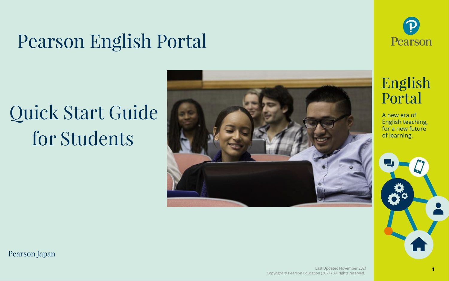### Pearson English Portal

## Quick Start Guide for Students





### English Portal

A new era of English teaching, for a new future of learning.



**1**

Pearson Japan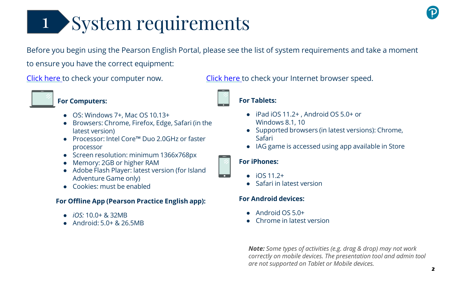# System requirements 1

Before you begin using the Pearson English Portal, please see the list of system requirements and take a moment to ensure you have the correct equipment:



#### **For Computers:**

- $\bullet$  OS: Windows 7+, Mac OS 10.13+
- Browsers: Chrome, Firefox, Edge, Safari (in the latest version)
- Processor: Intel Core™ Duo 2.0GHz or faster processor
- Screen resolution: minimum 1366x768px
- Memory: 2GB or higher RAM
- Adobe Flash Player: latest version (for Island Adventure Game only)
- Cookies: must be enabled

#### **For Offline App (Pearson Practice English app):**

- *iOS:* 10.0+ & 32MB
- Android: 5.0+ & 26.5MB

Click [here](http://www.speedtest.net/) to check your computer now. Click here to check your Internet browser speed.



#### ● iPad iOS 11.2+, Android OS 5.0+ or Windows 8.1, 10

- Supported browsers (in latest versions): Chrome, Safari
- IAG game is accessed using app available in Store

#### **For iPhones:**

- $\bullet$  iOS 11.2+
- Safari in latest version

#### **For Android devices:**

- $\bullet$  Android OS 5.0+
- Chrome in latest version

*Note: Some types of activities (e.g. drag & drop) may not work correctly on mobile devices. The presentation tool and admin tool are not supported on Tablet or Mobile devices.*





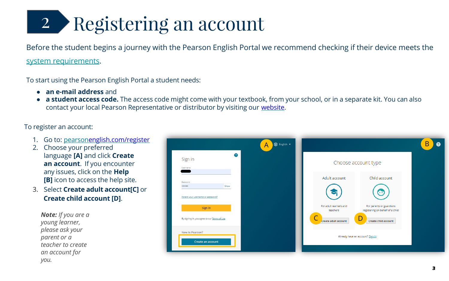# 2 Registering an account

Before the student begins a journey with the Pearson English Portal we recommend checking if their device meets the system requirements.

To start using the Pearson English Portal a student needs:

- **an e-mail address** and
- **a student access code.** The access code might come with your textbook, from your school, or in a separate kit. You can also contact your local Pearson Representative or distributor by visiting our [website.](https://www.pearsonelt.com/contact/buy.html)

To register an account:

- 1. Go to: pearso[nenglish.com/register](https://english-dashboard.pearson.com/register)
- 2. Choose your preferred language **[A]** and click **Create an account**. If you encounter any issues, click on the **Help [B]** icon to access the help site.
- 3. Select **Create adult account[C]** or **Create child account [D]**.

*Note: If you are a young learner, please ask your parent or a teacher to create an account for you.*

| $\bullet$                                     | $\overline{A}$ |                                    |                                                              |
|-----------------------------------------------|----------------|------------------------------------|--------------------------------------------------------------|
| Sign in<br>Username                           |                |                                    | Choose account type                                          |
|                                               |                | Adult account                      | Child account                                                |
| Password<br>Show<br>                          |                |                                    | $\overline{\phantom{a}}$                                     |
| Forgot your username or password?<br>Sign in  |                | For adult learners and<br>teachers | For parents or guardians<br>registering on behalf of a child |
| By signing in, you agree to our Terms of Use. |                | Create adult account               | Create child account                                         |
| New to Pearson?                               |                | Already have an account? Sign in   |                                                              |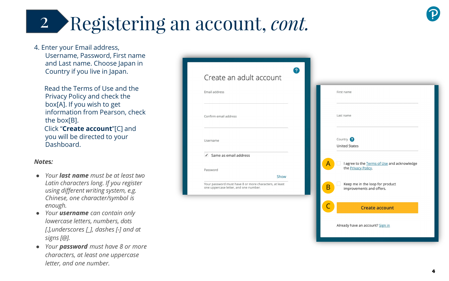4. Enter your Email address, Username, Password, First name and Last name. Choose Japan in Country if you live in Japan.

#### *Note* **s** *:*

- *Your last name must be at least two Latin characters long. If you register using different writing system, e.g. Chinese, one character/symbol is enough.*
- *Your username can contain only lowercase letters, numbers, dots [.],underscores [\_], dashes [-] and at signs [@].*
- *Your password must have 8 or more characters, at least one uppercase*

| Enter your Email address,<br>Username, Password, First name                    |                                                                                                         |                                                             |
|--------------------------------------------------------------------------------|---------------------------------------------------------------------------------------------------------|-------------------------------------------------------------|
| and Last name. Choose Japan in<br>Country if you live in Japan.                | Create an adult account                                                                                 |                                                             |
| Read the Terms of Use and the<br>Privacy Policy and check the                  | Email address                                                                                           | First name                                                  |
| box[A]. If you wish to get<br>information from Pearson, check<br>the box[B].   | Confirm email address                                                                                   | Last name                                                   |
| Click "Create account"[C] and<br>you will be directed to your<br>Dashboard.    | Username                                                                                                | Country 2<br><b>United States</b>                           |
| otes:                                                                          | $\checkmark$ Same as email address                                                                      | I agree to the Terms of Use and acknowledge                 |
| Your <b>last name</b> must be at least two                                     | Password                                                                                                | the Privacy Policy.                                         |
| Latin characters long. If you register<br>using different writing system, e.g. | Show<br>Your password must have 8 or more characters, at least<br>one uppercase letter, and one number. | Keep me in the loop for product<br>improvements and offers. |
| Chinese, one character/symbol is<br>enough.                                    |                                                                                                         | $\mathsf{C}$<br><b>Create account</b>                       |
| Your <b>username</b> can contain only                                          |                                                                                                         |                                                             |
| lowercase letters, numbers, dots                                               |                                                                                                         | Already have an account? Sign in                            |
| [.], underscores $[]$ , dashes $[]$ and at<br>signs [@].                       |                                                                                                         |                                                             |
| Your password must have 8 or more                                              |                                                                                                         |                                                             |
| characters, at least one uppercase                                             |                                                                                                         |                                                             |
| letter, and one number.                                                        |                                                                                                         |                                                             |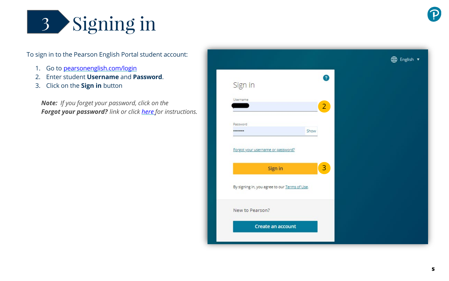

To sign in to the Pearson English Portal student account:

- 1. Go to [pearsonenglish.com/login](https://english-dashboard.pearson.com/login)
- 2. Enter student **Username** and **Password**.
- 3. Click on the **Sign in** button

*Note: If you forget your password, click on the Forgot your password? link or click [here](https://mypearsonhelp.com/helpconsole7/kb_stu_pep_en/#.recovering_your_password) for instructions.*

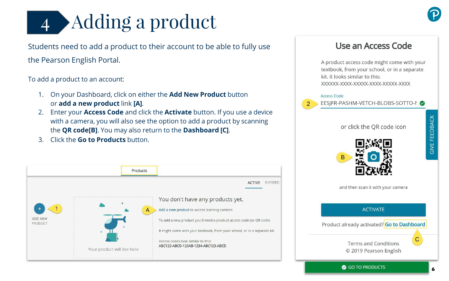# 4 Adding a product

Students need to add a product to their account to be able to fully use the Pearson English Portal.

To add a product to an account:

- 1. On your Dashboard, click on either the **Add New Product** button or **add a new product** link **[A]**.
- 2. Enter your **Access Code** and click the **Activate** button. If you use a device with a camera, you will also see the option to add a product by scanning the **QR code[B]**. You may also return to the **Dashboard [C]**.
- 3. Click the **Go to Products** button.



### Use an Access Code

A product access code might come with your textbook, from your school, or in a separate kit. It looks similar to this: XXXXXX-XXXX-XXXXX-XXXX-XXXXX-XXXX

**Access Code** 



EESIFR-PASHM-VETCH-BLOBS-SOTTO-1

or click the QR code icon



and then scan it with your camera

**ACTIVATE** Product already activated? Go to Dashboard  $\mathbf C$ **Terms and Conditions** © 2019 Pearson English

GO TO PRODUCTS

**GIVE FEEDBACK**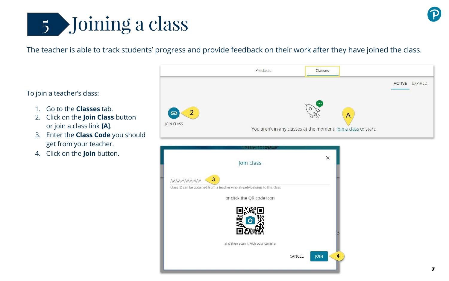

#### The teacher is able to track students' progress and provide feedback on their work after they have joined the class.

To join a teacher's class:

- 1. Go to the **Classes** tab.
- 2. Click on the **Join Class** button or join a class link **[A]**.
- 3. Enter the **Class Code** you should get from your teacher.
- 4. Click on the **Join** button.